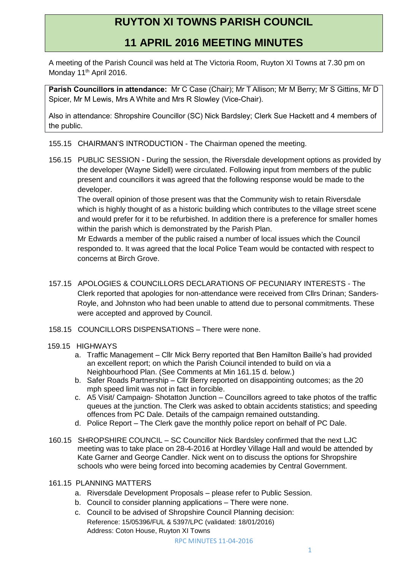## **RUYTON XI TOWNS PARISH COUNCIL**

## **11 APRIL 2016 MEETING MINUTES**

A meeting of the Parish Council was held at The Victoria Room, Ruyton XI Towns at 7.30 pm on Monday 11<sup>th</sup> April 2016.

**Parish Councillors in attendance:** Mr C Case (Chair); Mr T Allison; Mr M Berry; Mr S Gittins, Mr D Spicer, Mr M Lewis, Mrs A White and Mrs R Slowley (Vice-Chair).

Also in attendance: Shropshire Councillor (SC) Nick Bardsley; Clerk Sue Hackett and 4 members of the public.

155.15 CHAIRMAN'S INTRODUCTION - The Chairman opened the meeting.

156.15 PUBLIC SESSION - During the session, the Riversdale development options as provided by the developer (Wayne Sidell) were circulated. Following input from members of the public present and councillors it was agreed that the following response would be made to the developer.

The overall opinion of those present was that the Community wish to retain Riversdale which is highly thought of as a historic building which contributes to the village street scene and would prefer for it to be refurbished. In addition there is a preference for smaller homes within the parish which is demonstrated by the Parish Plan.

Mr Edwards a member of the public raised a number of local issues which the Council responded to. It was agreed that the local Police Team would be contacted with respect to concerns at Birch Grove.

- 157.15 APOLOGIES & COUNCILLORS DECLARATIONS OF PECUNIARY INTERESTS The Clerk reported that apologies for non-attendance were received from Cllrs Drinan; Sanders-Royle, and Johnston who had been unable to attend due to personal commitments. These were accepted and approved by Council.
- 158.15 COUNCILLORS DISPENSATIONS There were none.

## 159.15 HIGHWAYS

- a. Traffic Management Cllr Mick Berry reported that Ben Hamilton Baille's had provided an excellent report; on which the Parish Coiuncil intended to build on via a Neighbourhood Plan. (See Comments at Min 161.15 d. below.)
- b. Safer Roads Partnership Cllr Berry reported on disappointing outcomes; as the 20 mph speed limit was not in fact in forcible.
- c. A5 Visit/ Campaign- Shotatton Junction Councillors agreed to take photos of the traffic queues at the junction. The Clerk was asked to obtain accidents statistics; and speeding offences from PC Dale. Details of the campaign remained outstanding.
- d. Police Report The Clerk gave the monthly police report on behalf of PC Dale.
- 160.15 SHROPSHIRE COUNCIL SC Councillor Nick Bardsley confirmed that the next LJC meeting was to take place on 28-4-2016 at Hordley Village Hall and would be attended by Kate Garner and George Candler. Nick went on to discuss the options for Shropshire schools who were being forced into becoming academies by Central Government.

## 161.15 PLANNING MATTERS

- a. Riversdale Development Proposals please refer to Public Session.
- b. Council to consider planning applications There were none.
- c. Council to be advised of Shropshire Council Planning decision: Reference: 15/05396/FUL & 5397/LPC (validated: 18/01/2016) Address: Coton House, Ruyton XI Towns